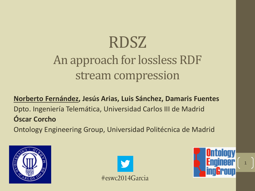#### RDSZ An approach for lossless RDF stream compression

#### **Norberto Fernández, Jesús Arias, Luis Sánchez, Damaris Fuentes** Dpto. Ingeniería Telemática, Universidad Carlos III de Madrid **Óscar Corcho** Ontology Engineering Group, Universidad Politécnica de Madrid





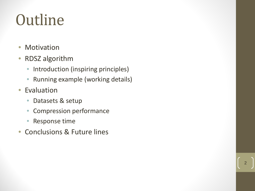## **Outline**

- Motivation
- RDSZ algorithm
	- Introduction (inspiring principles)
	- Running example (working details)

- Evaluation
	- Datasets & setup
	- Compression performance
	- Response time
- Conclusions & Future lines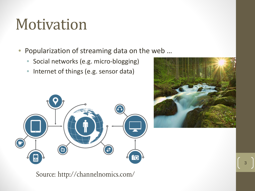- Popularization of streaming data on the web …
	- Social networks (e.g. micro-blogging)
	- Internet of things (e.g. sensor data)





Source: http://channelnomics.com/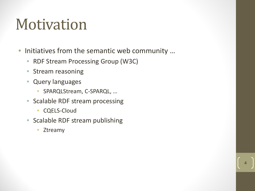• Initiatives from the semantic web community …

- RDF Stream Processing Group (W3C)
- Stream reasoning
- Query languages
	- SPARQLStream, C-SPARQL, …
- Scalable RDF stream processing
	- CQELS-Cloud
- Scalable RDF stream publishing
	- Ztreamy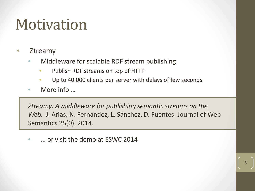- **Ztreamy** 
	- Middleware for scalable RDF stream publishing
		- Publish RDF streams on top of HTTP
		- Up to 40.000 clients per server with delays of few seconds
	- More info ...

*Ztreamy: A middleware for publishing semantic streams on the Web.* J. Arias, N. Fernández, L. Sánchez, D. Fuentes. Journal of Web Semantics 25(0), 2014.

5

• … or visit the demo at ESWC 2014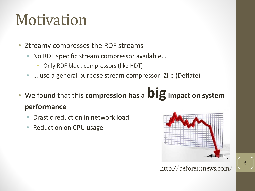- Ztreamy compresses the RDF streams
	- No RDF specific stream compressor available…
		- Only RDF block compressors (like HDT)
	- … use a general purpose stream compressor: Zlib (Deflate)
- We found that this **compression has a <b>DI**g impact on system **performance**
	- Drastic reduction in network load
	- Reduction on CPU usage



http://beforeitsnews.com/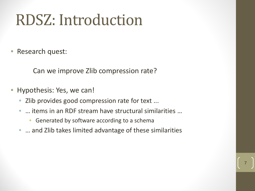## RDSZ: Introduction

Research quest:

Can we improve Zlib compression rate?

- Hypothesis: Yes, we can!
	- Zlib provides good compression rate for text ...
	- … items in an RDF stream have structural similarities …
		- Generated by software according to a schema
	- ... and Zlib takes limited advantage of these similarities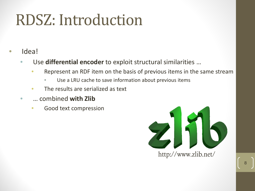## RDSZ: Introduction

- Idea!
	- Use **differential encoder** to exploit structural similarities …
		- Represent an RDF item on the basis of previous items in the same stream
			- Use a LRU cache to save information about previous items
		- The results are serialized as text
	- … combined **with Zlib**
		- Good text compression



http://www.zlib.net/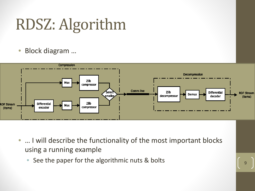• Block diagram …



- ... I will describe the functionality of the most important blocks using a running example
	- See the paper for the algorithmic nuts & bolts  $\left[\begin{array}{ccc} 9 & 1 \end{array}\right]$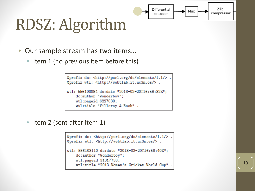- Our sample stream has two items…
	- Item 1 (no previous item before this)

```
@prefix dc: <http://purl.org/dc/elements/1.1/>
@prefix wtl: <http://webtlab.it.uc3m.es/> .
wtl:_556103084 dc:date "2013-02-20T16:58:32Z";
   dc:author "Wonderboy";
   wtl:pageid 6227038;
    wtl:title "Villeroy & Boch".
```
Differential

encoder

• Item 2 (sent after item 1)

```
@prefix dc: <http://purl.org/dc/elements/1.1/>.
@prefix wtl: <http://webtlab.it.uc3m.es/> .
wtl:_556103110 dc:date "2013-02-20T16:58:40Z";
    dc:author "Wonderboy";
    wtl:pageid 31317733;
    wtl:title "2013 Women's Cricket World Cup"
```
Zlib

compressor

Mux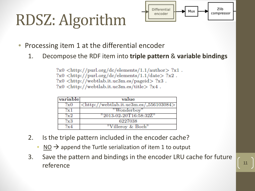

- Processing item 1 at the differential encoder
	- 1. Decompose the RDF item into **triple pattern** & **variable bindings**

 $?x0 \leq http://purl.org/de/elements/1.1/author > ?x1$ .  $?x0 <$ http://purl.org/dc/elements/1.1/date>  $?x2$ .  $?x0 <$ http://webtlab.it.uc3m.es/pageid>  $?x3$ .  $?x0 <$ http://webtlab.it.uc3m.es/title>  $?x4$ .

| variable | value                                                        |
|----------|--------------------------------------------------------------|
| (x0      | $\langle \text{http://webtlab.it.uc3m.es/556103084>}\rangle$ |
| 7x1      | "Wonderboy"                                                  |
| 7x2      | "2013-02-20T16:58:32Z"                                       |
| ?x3      | 6227038                                                      |
| 7x4      | "Villeroy & Boch"                                            |

- 2. Is the triple pattern included in the encoder cache?
	- $NO \rightarrow$  append the Turtle serialization of item 1 to output
- 3. Save the pattern and bindings in the encoder LRU cache for future reference  $\begin{bmatrix} 11 & 11 \\ 11 & 11 \end{bmatrix}$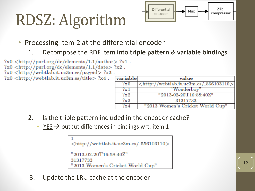

- Processing item 2 at the differential encoder
	- 1. Decompose the RDF item into **triple pattern** & **variable bindings**

 $?x0 \leq http://purl.org/de/elements/1.1/author > ?x1$ .  $?x0 <$ http://purl.org/dc/elements/1.1/date> $?x2$ .

 $?x0 \leq http$ ://webtlab.it.uc3m.es/pageid>  $?x3$ .

 $?x0 <$ http://webtlab.it.uc3m.es/title> $?x4$ .

| variable        | value                                                       |
|-----------------|-------------------------------------------------------------|
| ?x0             | $\langle \text{http://webtlab.it.uc3m.es/556103110}\rangle$ |
| $7\mathrm{x}$ 1 | "Wonderboy"                                                 |
| 7x2             | "2013-02-20T16:58:40Z"                                      |
| $7\mathbf{x}3$  | 31317733                                                    |
| $?$ x $\it{4}$  | "2013 Women's Cricket World Cup"                            |

- 2. Is the triple pattern included in the encoder cache?
	- $YES \rightarrow$  output differences in bindings wrt. item 1

```
\langlehttp://webtlab.it.uc3m.es/\angle556103110>
"2013-02-20T16:58:40Z"
31317733
"2013 Women's Cricket World Cup"
```
3. Update the LRU cache at the encoder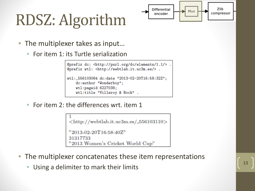- The multiplexer takes as input...
	- For item 1: its Turtle serialization

```
@prefix dc: <http://purl.org/dc/elements/1.1/>
@prefix wtl: <http://webtlab.it.uc3m.es/> .
wtl:_556103084 dc:date "2013-02-20T16:58:32Z";
    dc:author "Wonderboy";
   wtl:pageid 6227038;
    wtl:title "Villeroy & Boch".
```
• For item 2: the differences wrt. item 1

```
\langlehttp://webtlab.it.uc3m.es/_556103110>
"2013-02-20T16:58:40Z"
31317733
"2013 Women's Cricket World Cup"
```
- The multiplexer concatenates these item representations
	- Using a delimiter to mark their limits

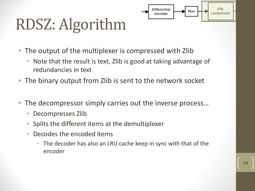- The output of the multiplexer is compressed with Zlib
	- Note that the result is text, Zlib is good at taking advantage of redundancies in text

Differential

encoder

- The binary output from Zlib is sent to the network socket
- The decompressor simply carries out the inverse process...
	- Decompresses Zlib
	- Splits the different items at the demultiplexer
	- Decodes the encoded items
		- The decoder has also an LRU cache keep in sync with that of the encoder

Zlib

compressor

Mux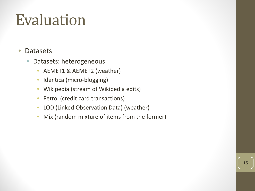#### • Datasets

- Datasets: heterogeneous
	- AEMET1 & AEMET2 (weather)
	- Identica (micro-blogging)
	- Wikipedia (stream of Wikipedia edits)
	- Petrol (credit card transactions)
	- LOD (Linked Observation Data) (weather)
	- Mix (random mixture of items from the former)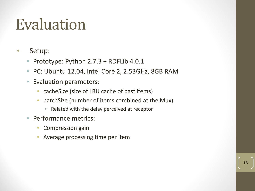- Setup:
	- Prototype: Python 2.7.3 + RDFLib 4.0.1
	- PC: Ubuntu 12.04, Intel Core 2, 2.53GHz, 8GB RAM
	- Evaluation parameters:
		- cacheSize (size of LRU cache of past items)
		- batchSize (number of items combined at the Mux)
			- Related with the delay perceived at receptor
	- Performance metrics:
		- Compression gain
		- Average processing time per item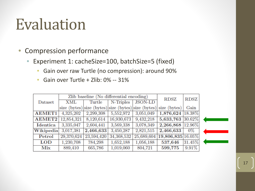- Compression performance
	- Experiment 1: cacheSize=100, batchSize=5 (fixed)
		- Gain over raw Turtle (no compression): around 90%
		- Gain over Turtle + Zlib: 0% -- 31%

|                | Zlib baseline (No differential encoding) |            |            |           | <b>RDSZ</b>                                                      | RDSZ   |  |
|----------------|------------------------------------------|------------|------------|-----------|------------------------------------------------------------------|--------|--|
| Dataset        | XML                                      | Turtle     | N-Triples  | JSON-LD   |                                                                  |        |  |
|                |                                          |            |            |           | size (bytes) size (bytes) size (bytes) size (bytes) size (bytes) | Gain   |  |
| <b>AEMET1</b>  | 4,325,202                                | 2,299,308  | 5,552,972  | 3,051,049 | 1,876,624 18.38%                                                 |        |  |
| <b>AEMET2</b>  | 12,854,321                               | 8.120,614  | 16,930,673 | 9.432.218 | 5,633,763 30.62%                                                 |        |  |
| Identica       | 3,335,047                                | 2,604,441  | 3,569,338  | 3,078,349 | 2,266,868 12.96%                                                 |        |  |
| Wikipedia      | 3,017,381                                | 2,466,633  | 3,450,287  | 2,821,515 | 2,466,633                                                        | 0%     |  |
| Petrol         | 29,370,624                               | 23,594,420 | 34,368,532 |           | 25,689,604 19,806,835 16.05%                                     |        |  |
| $\mathbf{LOD}$ | 1,230,708                                | 784,298    | 1,652,188  | 1,056,188 | 537,646                                                          | 31.45% |  |
| Mix            | 889,410                                  | 665,786    | 1,019,060  | 804,721   | 599,775                                                          | 9.91%  |  |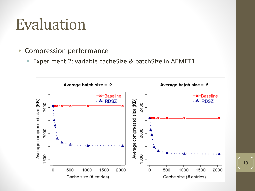- Compression performance
	- Experiment 2: variable cacheSize & batchSize in AEMET1

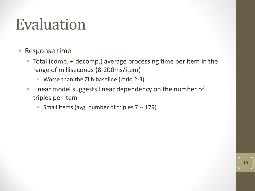- Response time
	- Total (comp. + decomp.) average processing time per item in the range of milliseconds (8-200ms/item)
		- Worse than the Zlib baseline (ratio 2-3)
	- Linear model suggests linear dependency on the number of triples per item
		- Small items (avg. number of triples 7 -- 179)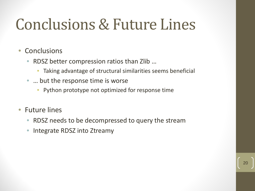## Conclusions & Future Lines

- Conclusions
	- RDSZ better compression ratios than Zlib …
		- Taking advantage of structural similarities seems beneficial
	- ... but the response time is worse.
		- Python prototype not optimized for response time
- Future lines
	- RDSZ needs to be decompressed to query the stream

20

• Integrate RDSZ into Ztreamy